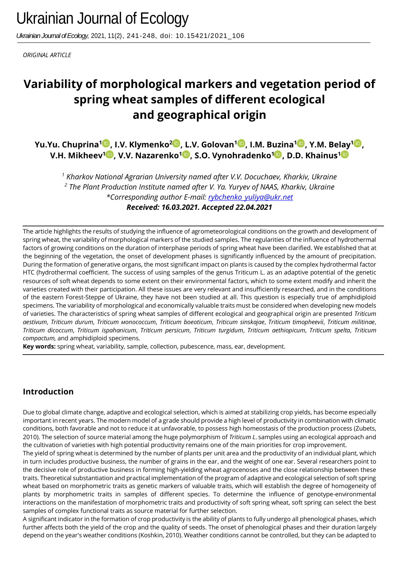*Ukrainian Journal of Ecology,* 2021, 11(2), 241-248, doi: 10.15421/2021\_106

*ORIGINAL ARTICLE* 

# **Variability of morphological markers and vegetation period of spring wheat samples of different ecological and geographical origin**

**Yu.Yu. Chuprina[1](https://orcid.org/0000-0002-0294-131X) , I.V. Klymenko[2](https://orcid.org/0000-0002-3014-1694) , L.V. Golovan[1](https://orcid.org/0000-0002-7630-3222) , I.M. Buzina[1](https://orcid.org/0000-0002-0885-0558) , Y.M. Belay<sup>1</sup> , V.H. Mikheev<sup>1</sup> , V.V. Nazarenko<sup>1</sup> , S.O. Vynohradenko[1](http://orcid.org/0000-0002-8520-6504) , D.D. Khainus<sup>1</sup>**

*<sup>1</sup> Kharkov National Agrarian University named after V.V. Docuchaev, Kharkiv, Ukraine 2 The Рlant Production Institute named after V. Ya. Yuryev of NAAS, Kharkiv, Ukraine \*Corresponding author E-mail: [rybchenko\\_yuliya@ukr.net](mailto:rybchenko_yuliya@ukr.net) Received: 16.03.2021. Accepted 22.04.2021*

The article highlights the results of studying the influence of agrometeorological conditions on the growth and development of spring wheat, the variability of morphological markers of the studied samples. The regularities of the influence of hydrothermal factors of growing conditions on the duration of interphase periods of spring wheat have been clarified. We established that at the beginning of the vegetation, the onset of development phases is significantly influenced by the amount of precipitation. During the formation of generative organs, the most significant impact on plants is caused by the complex hydrothermal factor HTC (hydrothermal coefficient. The success of using samples of the genus Triticum L. as an adaptive potential of the genetic resources of soft wheat depends to some extent on their environmental factors, which to some extent modify and inherit the varieties created with their participation. All these issues are very relevant and insufficiently researched, and in the conditions of the eastern Forest-Steppe of Ukraine, they have not been studied at all. This question is especially true of amphidiploid specimens. The variability of morphological and economically valuable traits must be considered when developing new models of varieties. The characteristics of spring wheat samples of different ecological and geographical origin are presented *Triticum* aestivum, Triticum durum, Triticum мопососсит, Triticum boeoticum, Triticum sinskajae, Triticum timopheevii, Triticum militinae, *Triticum dicoccum*, *Triticum ispahanicum*, *Triticum persicum*, *Triticum turgidum*, *Triticum aethiopicum*, *Triticum spelta*, *Triticum compactum,* and amphidiploid specimens.

**Key words:** spring wheat, variability, sample, collection, pubescence, mass, ear, development.

# **Introduction**

Due to global climate change, adaptive and ecological selection, which is aimed at stabilizing crop yields, has become especially important in recent years. The modern model of a grade should provide a high level of productivity in combination with climatic conditions, both favorable and not to reduce it at unfavorable, to possess high homeostasis of the production process (Zubets, 2010). The selection of source material among the huge polymorphism of *Triticum L*. samples using an ecological approach and the cultivation of varieties with high potential productivity remains one of the main priorities for crop improvement.

The yield of spring wheat is determined by the number of plants per unit area and the productivity of an individual plant, which in turn includes productive business, the number of grains in the ear, and the weight of one ear. Several researchers point to the decisive role of productive business in forming high-yielding wheat agrocenoses and the close relationship between these traits. Theoretical substantiation and practical implementation of the program of adaptive and ecological selection of soft spring wheat based on morphometric traits as genetic markers of valuable traits, which will establish the degree of homogeneity of plants by morphometric traits in samples of different species. To determine the influence of genotype-environmental interactions on the manifestation of morphometric traits and productivity of soft spring wheat, soft spring can select the best samples of complex functional traits as source material for further selection.

A significant indicator in the formation of crop productivity is the ability of plants to fully undergo all phenological phases, which further affects both the yield of the crop and the quality of seeds. The onset of phenological phases and their duration largely depend on the year's weather conditions (Koshkin, 2010). Weather conditions cannot be controlled, but they can be adapted to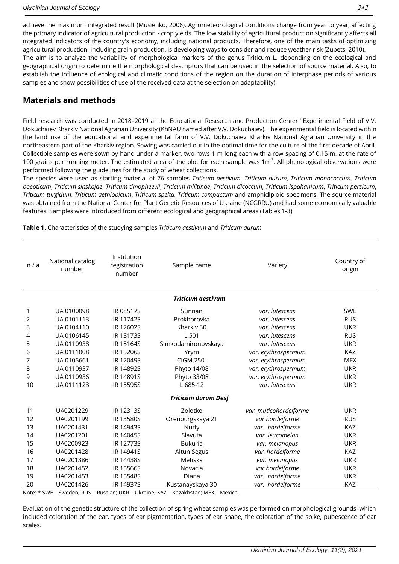achieve the maximum integrated result (Musienko, 2006). Agrometeorological conditions change from year to year, affecting the primary indicator of agricultural production - crop yields. The low stability of agricultural production significantly affects all integrated indicators of the country's economy, including national products. Therefore, one of the main tasks of optimizing agricultural production, including grain production, is developing ways to consider and reduce weather risk (Zubets, 2010). The aim is to analyze the variability of morphological markers of the genus Triticum L. depending on the ecological and

geographical origin to determine the morphological descriptors that can be used in the selection of source material. Also, to establish the influence of ecological and climatic conditions of the region on the duration of interphase periods of various samples and show possibilities of use of the received data at the selection on adaptability).

# **Materials and methods**

Field research was conducted in 2018–2019 at the Educational Research and Production Center "Experimental Field of V.V. Dokuchaiev Kharkiv National Agrarian University (KhNAU named after V.V. Dokuchaiev). The experimental field is located within the land use of the educational and experimental farm of V.V. Dokuchaiev Kharkiv National Agrarian University in the northeastern part of the Kharkiv region. Sowing was carried out in the optimal time for the culture of the first decade of April. Collectible samples were sown by hand under a marker, two rows 1 m long each with a row spacing of 0.15 m, at the rate of 100 grains per running meter. The estimated area of the plot for each sample was  $1m<sup>2</sup>$ . All phenological observations were performed following the guidelines for the study of wheat collections.

The species were used as starting material of 76 samples *Triticum aestivum*, *Triticum durum*, *Triticum monococcum*, *Triticum boeoticum*, *Triticum sinskajae*, *Triticum timopheevii*, *Triticum militinae*, *Triticum dicoccum*, *Triticum ispahanicum*, *Triticum persicum*, *Triticum turgidum*, *Triticum aethiopicum*, *Triticum spelta*, *Triticum compactum* and amphidiploid specimens. The source material was obtained from the National Center for Plant Genetic Resources of Ukraine (NCGRRU) and had some economically valuable features. Samples were introduced from different ecological and geographical areas (Tables 1-3).

| n/a | Institution<br>National catalog<br>registration<br>number<br>number |                  | Sample name                | Variety                | Country of<br>origin |  |  |
|-----|---------------------------------------------------------------------|------------------|----------------------------|------------------------|----------------------|--|--|
|     |                                                                     |                  | <b>Triticum aestivum</b>   |                        |                      |  |  |
| 1   | UA 0100098                                                          | IR 08517S        | Sunnan                     | var. lutescens         | <b>SWE</b>           |  |  |
| 2   | UA 0101113                                                          | <b>IR 11742S</b> | Prokhorovka                | var. lutescens         | <b>RUS</b>           |  |  |
| 3   | UA 0104110                                                          | IR 12602S        | Kharkiv 30                 | var. lutescens         | <b>UKR</b>           |  |  |
| 4   | UA 0106145                                                          | IR 13173S        | L 501                      | var. lutescens         | <b>RUS</b>           |  |  |
| 5   | UA 0110938                                                          | <b>IR 15164S</b> | Simkodamironovskaya        | var. lutescens         | <b>UKR</b>           |  |  |
| 6   | UA 0111008                                                          | IR 15206S        | Yrym                       | var. erythrospermum    | KAZ                  |  |  |
| 7   | UA 0105661                                                          | <b>IR 12049S</b> | CIGM.250-                  | var. erythrospermum    | <b>MEX</b>           |  |  |
| 8   | UA 0110937                                                          | IR 14892S        | Phyto 14/08                | var. erythrospermum    | <b>UKR</b>           |  |  |
| 9   | UA 0110936                                                          | IR 14891S        | Phyto 33/08                | var. erythrospermum    | <b>UKR</b>           |  |  |
| 10  | UA 0111123                                                          | <b>IR 15595S</b> | L 685-12                   | var. lutescens         | <b>UKR</b>           |  |  |
|     |                                                                     |                  | <b>Triticum durum Desf</b> |                        |                      |  |  |
| 11  | UA0201229                                                           | IR 12313S        | Zolotko                    | var. muticohordeiforme | <b>UKR</b>           |  |  |
| 12  | UA0201199                                                           | IR 13580S        | Orenburgskaya 21           | var hordeiforme        | <b>RUS</b>           |  |  |
| 13  | UA0201431                                                           | IR 14943S        | Nurly                      | var. hordeiforme       | KAZ                  |  |  |
| 14  | UA0201201                                                           | <b>IR 14045S</b> | Slavuta                    | var. leucomelan        | <b>UKR</b>           |  |  |
| 15  | UA0200923                                                           | IR 12773S        | <b>Bukuría</b>             | var. melanopus         | <b>UKR</b>           |  |  |
| 16  | UA0201428                                                           | IR 14941S        | Altun Segus                | var. hordeiforme       | KAZ                  |  |  |
| 17  | UA0201386                                                           | <b>IR 14438S</b> | Metiska                    | var. melanopus         | <b>UKR</b>           |  |  |
| 18  | UA0201452                                                           | IR 15566S        | Novacia                    | var hordeiforme        | <b>UKR</b>           |  |  |
| 19  | UA0201453                                                           | IR 15548S        | Diana                      | var. hordeiforme       | <b>UKR</b>           |  |  |
| 20  | UA0201426                                                           | <b>IR 14937S</b> | Kustanayskaya 30           | var. hordeiforme       | <b>KAZ</b>           |  |  |

**Table 1.** Characteristics of the studying samples *Triticum aestivum* and *Triticum durum*

Note: \* SWE – Sweden; RUS – Russian; UKR – Ukraine; KAZ – Kazakhstan; MEX – Mexico.

Evaluation of the genetic structure of the collection of spring wheat samples was performed on morphological grounds, which included coloration of the ear, types of ear pigmentation, types of ear shape, the coloration of the spike, pubescence of ear scales.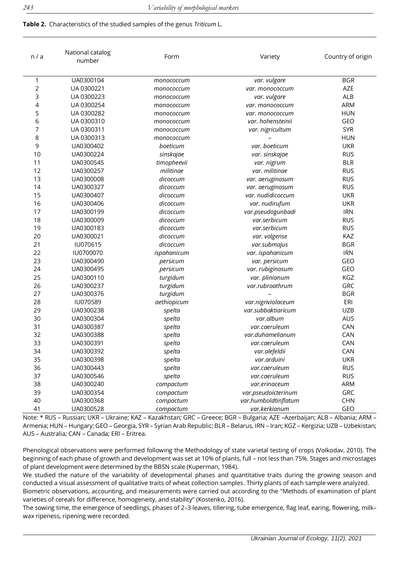**Table 2.** Characteristics of the studied samples of the genus *Triticum* L.

| n/a            | National catalog<br>number | Form        | Variety              | Country of origin |  |  |
|----------------|----------------------------|-------------|----------------------|-------------------|--|--|
| 1              | UA0300104                  | monococcum  | var. vulgare         | <b>BGR</b>        |  |  |
| $\overline{2}$ | UA 0300221                 | monococcum  | var. monococcum      | AZE               |  |  |
| 3              | UA 0300223                 | monococcum  | var. vulgare         | <b>ALB</b>        |  |  |
| 4              | UA 0300254                 | monococcum  | var. monococcum      | <b>ARM</b>        |  |  |
| 5              | UA 0300282                 | monococcum  | var. monococcum      | <b>HUN</b>        |  |  |
| 6              | UA 0300310                 | monococcum  | var. hohensteinii    | GEO               |  |  |
| 7              | UA 0300311                 | monococcum  | var. nigricultum     | <b>SYR</b>        |  |  |
| 8              | UA 0300313                 | monococcum  |                      | <b>HUN</b>        |  |  |
| 9              | UA0300402                  | boeticum    | var. boeticum        | <b>UKR</b>        |  |  |
| 10             | UA0300224                  | sinskajae   | var. sinskajae       | <b>RUS</b>        |  |  |
| 11             | UA0300545                  | timopheevii | var. nigrum          | <b>BLR</b>        |  |  |
| 12             | UA0300257                  | militinae   | var. militinae       | <b>RUS</b>        |  |  |
| 13             | UA0300008                  | dicoccum    | var. aeruginosum     | <b>RUS</b>        |  |  |
| 14             | UA0300327                  | dicoccum    | var. aeruginosum     | <b>RUS</b>        |  |  |
| 15             | UA0300407                  | dicoccum    | var. nudidicoccum    | <b>UKR</b>        |  |  |
| 16             | UA0300406                  | dicoccum    | var. nudirufum       | <b>UKR</b>        |  |  |
| 17             | UA0300199                  | dicoccum    | var.pseudogunbadi    | <b>IRN</b>        |  |  |
| 18             | UA0300009                  | dicoccum    | var.serbicum         | <b>RUS</b>        |  |  |
| 19             | UA0300183                  | dicoccum    | var.serbicum         | <b>RUS</b>        |  |  |
| 20             | UA0300021                  | dicoccum    | var. volgense        | KAZ               |  |  |
| 21             | IU070615                   | dicoccum    | var.submajus         | <b>BGR</b>        |  |  |
| 22             | IU0700070                  | ispahanicum | var. ispahanicum     | <b>IRN</b>        |  |  |
| 23             | UA0300490                  | persicum    | var. persicum        | GEO               |  |  |
| 24             | UA0300495                  | persicum    | var. rubiginosum     | GEO               |  |  |
| 25             | UA0300110                  | turgidum    | var. plinianum       | KGZ               |  |  |
| 26             | UA0300237                  | turgidum    | var.rubroathrum      | <b>GRC</b>        |  |  |
| 27             | UA0300376                  | turgidum    |                      | <b>BGR</b>        |  |  |
| 28             | IU070589                   | aethiopicum | var.nigriviolaceum   | ERI               |  |  |
| 29             | UA0300238                  | spelta      | var.subbaktiaricum   | <b>UZB</b>        |  |  |
| 30             | UA0300304                  | spelta      | var.album            | <b>AUS</b>        |  |  |
| 31             | UA0300387                  | spelta      | var.caeruleum        | CAN               |  |  |
| 32             | UA0300388                  | spelta      | var.duhamelianum     | CAN               |  |  |
| 33             | UA0300391                  | spelta      | var.caeruleum        | CAN               |  |  |
| 34             | UA0300392                  | spelta      | var.alefeldii        | CAN               |  |  |
| 35             | UA0300398                  | spelta      | var.arduini          | <b>UKR</b>        |  |  |
| 36             | UA0300443                  | spelta      | var.caeruleum        | <b>RUS</b>        |  |  |
| 37             | UA0300546                  | spelta      | var.caeruleum        | <b>RUS</b>        |  |  |
| 38             | UA0300240                  | compactum   | var.erinaceum        | ARM               |  |  |
| 39             | UA0300354                  | compactum   | var.pseudoicterinum  | GRC               |  |  |
| 40             | UA0300368                  | compactum   | var.humboldtinflatum | <b>CHN</b>        |  |  |
| 41             | UA0300528                  | compactum   | var.kerkianum        | GEO               |  |  |

Note: \* RUS – Russian; UKR – Ukraine; KAZ – Kazakhstan; GRC – Greece; BGR – Bulgaria; AZE –Azerbaijan; ALB – Albania; ARM – Armenia; HUN – Hungary; GEO – Georgia, SYR – Syrian Arab Republic; BLR – Belarus, IRN – Iran; KGZ – Kergizia; UZB – Uzbekistan; AUS – Australia; CAN – Canada; ERI – Eritrea.

Phenological observations were performed following the Methodology of state varietal testing of crops (Volkodav, 2010). The beginning of each phase of growth and development was set at 10% of plants, full *–* not less than 75%. Stages and microstages of plant development were determined by the BBSN scale (Kuperman, 1984).

We studied the nature of the variability of developmental phases and quantitative traits during the growing season and conducted a visual assessment of qualitative traits of wheat collection samples. Thirty plants of each sample were analyzed.

Biometric observations, accounting, and measurements were carried out according to the "Methods of examination of plant varieties of cereals for difference, homogeneity, and stability" (Kostenko, 2016).

The sowing time, the emergence of seedlings, phases of 2*–*3 leaves, tillering, tube emergence, flag leaf, earing, flowering, milk*–* wax ripeness, ripening were recorded.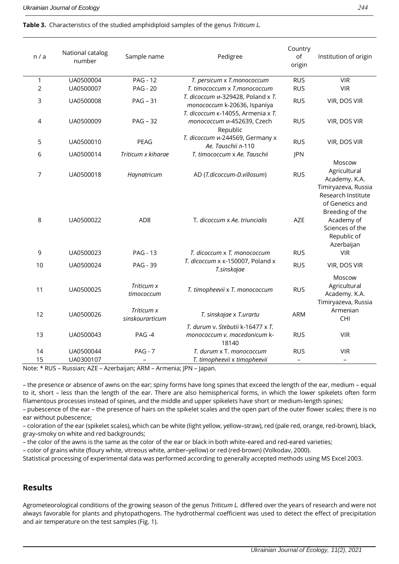**Table 3.** Characteristics of the studied amphidiploid samples of the genus *Triticum L.*

| n/a            | National catalog<br>number | Sample name                   | Pedigree                                                                    | Country<br>of<br>origin | Institution of origin                                                                                                                         |  |  |
|----------------|----------------------------|-------------------------------|-----------------------------------------------------------------------------|-------------------------|-----------------------------------------------------------------------------------------------------------------------------------------------|--|--|
| 1              | UA0500004                  | <b>PAG - 12</b>               | T. persicum x T.monococcum                                                  | <b>RUS</b>              | <b>VIR</b>                                                                                                                                    |  |  |
| $\overline{2}$ | UA0500007                  | <b>PAG - 20</b>               | T. timococcum x T.monococcum                                                | <b>RUS</b>              | <b>VIR</b>                                                                                                                                    |  |  |
| 3              | UA0500008                  | $PAG - 31$                    | T. dicoccum u-329428, Poland x T.<br>monococcum k-20636, Ispaniya           | <b>RUS</b>              | VIR, DOS VIR                                                                                                                                  |  |  |
| 4              | UA0500009                  | $PAG - 32$                    | T. dicoccum k-14055, Armenia x T.<br>monococcum и-452639, Czech<br>Republic | <b>RUS</b>              | VIR, DOS VIR                                                                                                                                  |  |  |
| 5              | UA0500010                  | <b>PEAG</b>                   | Т. dicoccum и-244569, Germany х<br>Ae. Tauschii л-110                       | <b>RUS</b>              | VIR, DOS VIR                                                                                                                                  |  |  |
| 6              | UA0500014                  | Triticum x kiharae            | T. timococcum x Ae. Tauschii                                                | JPN                     |                                                                                                                                               |  |  |
| 7              | UA0500018                  | Haynatricum                   | AD (T.dicoccum-D.villosum)                                                  | <b>RUS</b>              | Moscow<br>Agricultural<br>Academy. K.A.                                                                                                       |  |  |
| 8              | UA0500022                  | AD <sub>8</sub>               | T. dicoccum x Ae. triuncialis                                               | AZE                     | Timiryazeva, Russia<br>Research Institute<br>of Genetics and<br>Breeding of the<br>Academy of<br>Sciences of the<br>Republic of<br>Azerbaijan |  |  |
| 9              | UA0500023                  | <b>PAG - 13</b>               | T. dicoccum x T. monococcum                                                 | <b>RUS</b>              | <b>VIR</b>                                                                                                                                    |  |  |
| 10             | UA0500024                  | <b>PAG - 39</b>               | T. dicoccum x k-150007, Poland x<br>T.sinskajae                             | <b>RUS</b>              | VIR, DOS VIR                                                                                                                                  |  |  |
| 11             | UA0500025                  | Triticum x<br>timococcum      | T. timopheevii x T. monococcum                                              | <b>RUS</b>              | Moscow<br>Agricultural<br>Academy. K.A.<br>Timiryazeva, Russia                                                                                |  |  |
| 12             | UA0500026                  | Triticum x<br>sinskourarticum | T. sinskajae x T.urartu                                                     | <b>ARM</b>              | Armenian<br>CHI                                                                                                                               |  |  |
|                |                            |                               | T. durum v. Stebutii k-16477 x T.                                           |                         |                                                                                                                                               |  |  |
| 13             | UA0500043                  | PAG-4                         | monococcum v. macedonicum k-<br>18140                                       | <b>RUS</b>              | <b>VIR</b>                                                                                                                                    |  |  |
| 14             | UA0500044                  | $PAG - 7$                     | T. durum x T. monococcum                                                    | <b>RUS</b>              | <b>VIR</b>                                                                                                                                    |  |  |
| 15             | UA0300107                  |                               | T. timopheevii x timopheevii                                                | $\qquad \qquad -$       | $\overline{\phantom{m}}$                                                                                                                      |  |  |

Note: \* RUS – Russian; AZE – Azerbaijan; ARM – Armenia; JPN – Japan.

*–* the presence or absence of awns on the ear; spiny forms have long spines that exceed the length of the ear, medium *–* equal to it, short *–* less than the length of the ear. There are also hemispherical forms, in which the lower spikelets often form filamentous processes instead of spines, and the middle and upper spikelets have short or medium-length spines;

*–* pubescence of the ear *–* the presence of hairs on the spikelet scales and the open part of the outer flower scales; there is no ear without pubescence;

*–* coloration of the ear (spikelet scales), which can be white (light yellow, yellow*–*straw), red (pale red, orange, red-brown), black, gray*–*smoky on white and red backgrounds;

*–* the color of the awns is the same as the color of the ear or black in both white-eared and red-eared varieties;

*–* color of grains white (floury white, vitreous white, amber*–*yellow) or red (red*-*brown) (Volkodav, 2000).

Statistical processing of experimental data was performed according to generally accepted methods using MS Excel 2003.

### **Results**

Agrometeorological conditions of the growing season of the genus *Triticum L.* differed over the years of research and were not always favorable for plants and phytopathogens. The hydrothermal coefficient was used to detect the effect of precipitation and air temperature on the test samples (Fig. 1).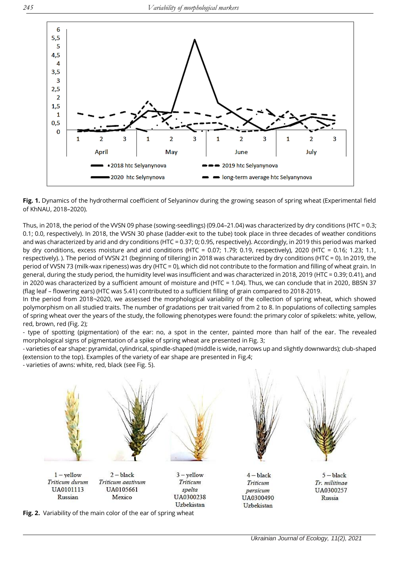

**Fig. 1.** Dynamics of the hydrothermal coefficient of Selyaninov during the growing season of spring wheat (Experimental field of KhNAU, 2018*–*2020).

Thus, in 2018, the period of the VVSN 09 phase (sowing-seedlings) (09.04–21.04) was characterized by dry conditions (HTC = 0.3; 0.1; 0.0, respectively). In 2018, the VVSN 30 phase (ladder-exit to the tube) took place in three decades of weather conditions and was characterized by arid and dry conditions (HTC = 0.37; 0; 0.95, respectively). Accordingly, in 2019 this period was marked by dry conditions, excess moisture and arid conditions (HTC =  $0.07$ ; 1.79; 0.19, respectively), 2020 (HTC =  $0.16$ ; 1.23; 1.1, respectively). ). The period of VVSN 21 (beginning of tillering) in 2018 was characterized by dry conditions (HTC = 0). In 2019, the period of VVSN 73 (milk-wax ripeness) was dry (HTC = 0), which did not contribute to the formation and filling of wheat grain. In general, during the study period, the humidity level was insufficient and was characterized in 2018, 2019 (HTC = 0.39; 0.41), and in 2020 was characterized by a sufficient amount of moisture and (HTC = 1.04). Thus, we can conclude that in 2020, BBSN 37 (flag leaf – flowering ears) (HTC was 5.41) contributed to a sufficient filling of grain compared to 2018-2019.

In the period from 2018¬2020, we assessed the morphological variability of the collection of spring wheat, which showed polymorphism on all studied traits. The number of gradations per trait varied from 2 to 8. In populations of collecting samples of spring wheat over the years of the study, the following phenotypes were found: the primary color of spikelets: white, yellow, red, brown, red (Fig. 2);

- type of spotting (pigmentation) of the ear: no, a spot in the center, painted more than half of the ear. The revealed morphological signs of pigmentation of a spike of spring wheat are presented in Fig. 3;

- varieties of ear shape: pyramidal, cylindrical, spindle-shaped (middle is wide, narrows up and slightly downwards); club-shaped (extension to the top). Examples of the variety of ear shape are presented in Fig.4;

- varieties of awns: white, red, black (see Fig. 5).



**Fig. 2.** Variability of the main color of the ear of spring wheat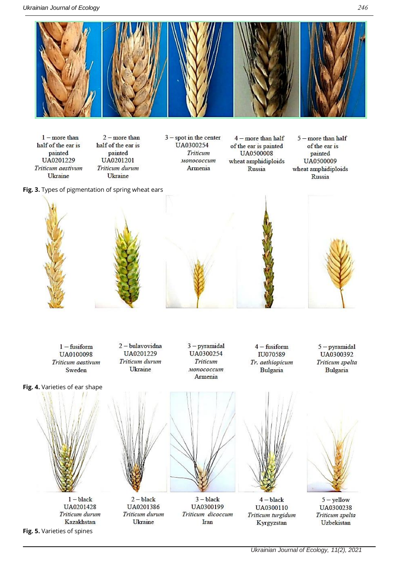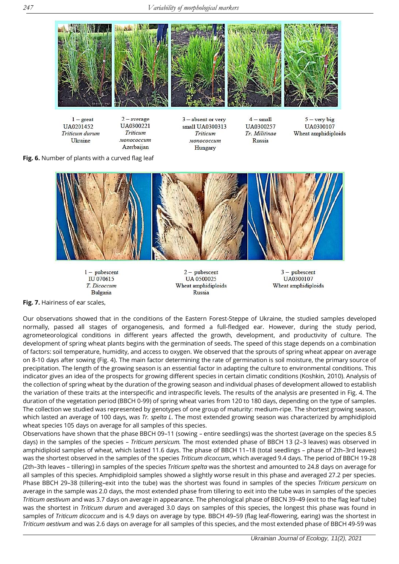

 $1 - \text{great}$ UA0201452 Triticum durum Ukraine

 $2 - average$ UA0300221 Triticum монососсит Azerbaijan

 $3 -$ absent or very small UA0300313 Triticum мопососсит Hungary

 $4 - \text{cmall}$ UA0300257 Tr. Militinae Russia



**Fig. 6.** Number of plants with a curved flag leaf



 $1 -$  pubescent **IU 070615** T. Dicoccum Bulgaria

 $2$  – pubescent UA 0500025 Wheat amphidiploids Russia

 $3 - **pulse**$ UA0300107 Wheat amphidiploids

**Fig. 7.** Hairiness of ear scales,

Our observations showed that in the conditions of the Eastern Forest-Steppe of Ukraine, the studied samples developed normally, passed all stages of organogenesis, and formed a full-fledged ear. However, during the study period, agrometeorological conditions in different years affected the growth, development, and productivity of culture. The development of spring wheat plants begins with the germination of seeds. The speed of this stage depends on a combination of factors: soil temperature, humidity, and access to oxygen. We observed that the sprouts of spring wheat appear on average on 8-10 days after sowing (Fig. 4). The main factor determining the rate of germination is soil moisture, the primary source of precipitation. The length of the growing season is an essential factor in adapting the culture to environmental conditions. This indicator gives an idea of the prospects for growing different species in certain climatic conditions (Koshkin, 2010). Analysis of the collection of spring wheat by the duration of the growing season and individual phases of development allowed to establish the variation of these traits at the interspecific and intraspecific levels. The results of the analysis are presented in Fig. 4. The duration of the vegetation period (ВВСН 0-99) of spring wheat varies from 120 to 180 days, depending on the type of samples. The collection we studied was represented by genotypes of one group of maturity: medium-ripe. The shortest growing season, which lasted an average of 100 days, was *Tr. spelta L*. The most extended growing season was characterized by amphidiploid wheat species 105 days on average for all samples of this species.

Observations have shown that the phase ВВСН 09*–*11 (sowing *–* entire seedlings) was the shortest (average on the species 8.5 days) in the samples of the species *– Triticum persicum.* The most extended phase of ВВСН 13 (2*–*3 leaves) was observed in amphidiploid samples of wheat, which lasted 11.6 days. The phase of ВВСН 11*–*18 (total seedlings – phase of 2th–3rd leaves) was the shortest observed in the samples of the species *Triticum dicoccum*, which averaged 9.4 days. The period of ВВСН 19-28 (2th*–*3th leaves *–* tillering) in samples of the species *Triticum spelta* was the shortest and amounted to 24.8 days on average for all samples of this species. Amphidiploid samples showed a slightly worse result in this phase and averaged 27.2 per species. Phase ВВСН 29*–*38 (tillering*–*exit into the tube) was the shortest was found in samples of the species *Triticum persicum* on average in the sample was 2.0 days, the most extended phase from tillering to exit into the tube was in samples of the species *Triticum aestivum* and was 3.7 days on average in appearance. The phenological phase of BBCN 39*–*49 (exit to the flag leaf tube) was the shortest in *Triticum durum* and averaged 3.0 days on samples of this species, the longest this phase was found in samples of *Triticum dicoccum* and is 4.9 days on average by type*.* ВВСН 49*–*59 (flag leaf-flowering, earing) was the shortest in *Triticum aestivum* and was 2.6 days on average for all samples of this species, and the most extended phase of ВВСН 49-59 was